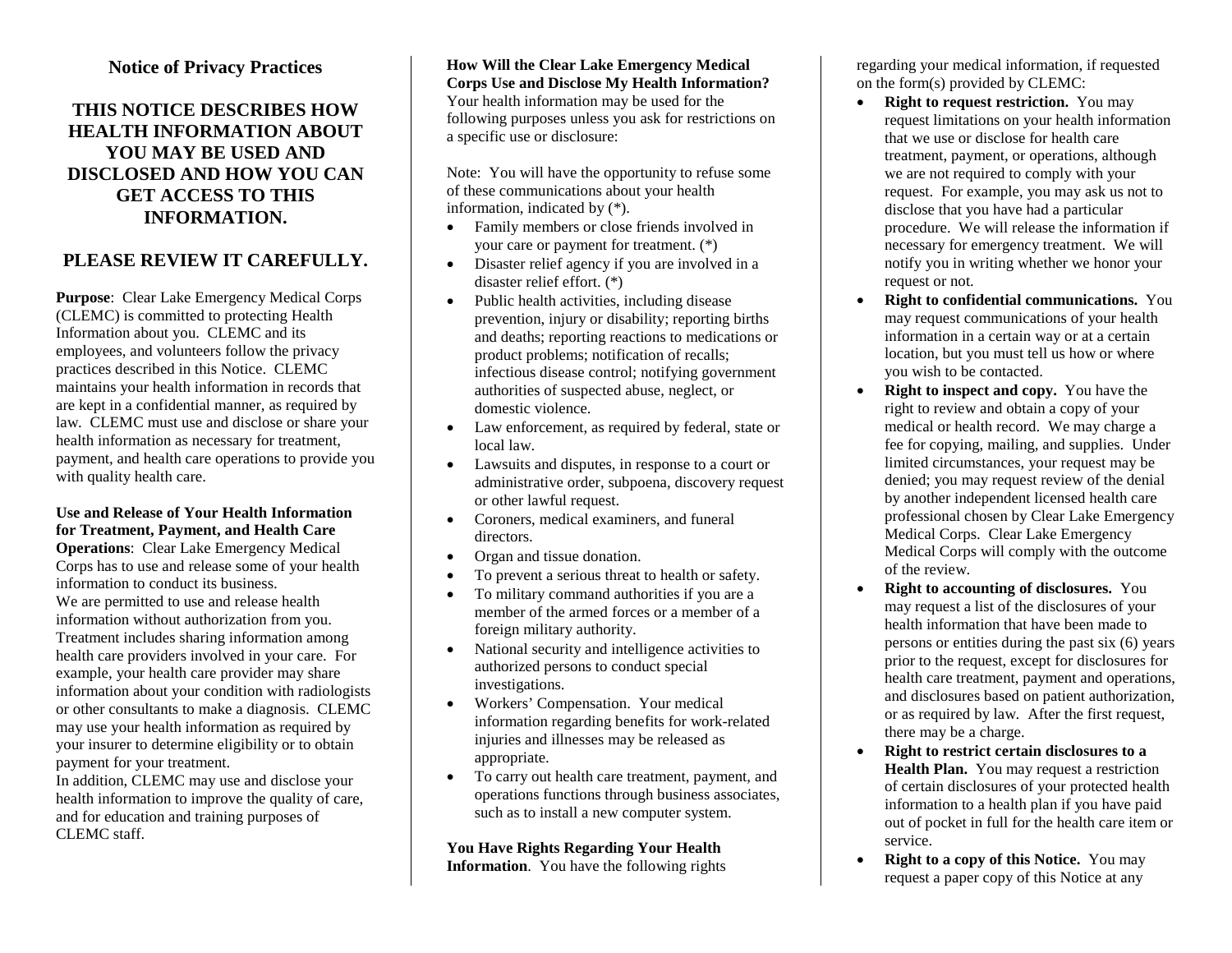#### **Notice of Privacy Practices**

## **THIS NOTICE DESCRIBES HOW HEALTH INFORMATION ABOUT YOU MAY BE USED AND DISCLOSED AND HOW YOU CAN GET ACCESS TO THIS INFORMATION.**

## **PLEASE REVIEW IT CAREFULLY.**

**Purpose**: Clear Lake Emergency Medical Corps (CLEMC) is committed to protecting Health Information about you. CLEMC and its employees, and volunteers follow the privacy practices described in this Notice. CLEMC maintains your health information in records that are kept in a confidential manner, as required by law. CLEMC must use and disclose or share your health information as necessary for treatment, payment, and health care operations to provide you with quality health care.

#### **Use and Release of Your Health Information for Treatment, Payment, and Health Care**

**Operations**: Clear Lake Emergency Medical Corps has to use and release some of your health information to conduct its business. We are permitted to use and release health information without authorization from you. Treatment includes sharing information among health care providers involved in your care. For example, your health care provider may share information about your condition with radiologists or other consultants to make a diagnosis. CLEMC may use your health information as required by your insurer to determine eligibility or to obtain payment for your treatment.

In addition, CLEMC may use and disclose your health information to improve the quality of care, and for education and training purposes of CLEMC staff

**How Will the Clear Lake Emergency Medical Corps Use and Disclose My Health Information?** Your health information may be used for the following purposes unless you ask for restrictions on a specific use or disclosure:

Note: You will have the opportunity to refuse some of these communications about your health information, indicated by (\*).

- Family members or close friends involved in your care or payment for treatment. (\*)
- Disaster relief agency if you are involved in a disaster relief effort. (\*)
- Public health activities, including disease prevention, injury or disability; reporting births and deaths; reporting reactions to medications or product problems; notification of recalls; infectious disease control; notifying government authorities of suspected abuse, neglect, or domestic violence.
- Law enforcement, as required by federal, state or local law.
- Lawsuits and disputes, in response to a court or administrative order, subpoena, discovery request or other lawful request.
- Coroners, medical examiners, and funeral directors.
- Organ and tissue donation.
- To prevent a serious threat to health or safety.
- To military command authorities if you are a member of the armed forces or a member of a foreign military authority.
- National security and intelligence activities to authorized persons to conduct special investigations.
- Workers' Compensation. Your medical information regarding benefits for work-related injuries and illnesses may be released as appropriate.
- To carry out health care treatment, payment, and operations functions through business associates, such as to install a new computer system.

# **You Have Rights Regarding Your Health**

**Information**. You have the following rights

regarding your medical information, if requested on the form(s) provided by CLEMC:

- **Right to request restriction.** You may request limitations on your health information that we use or disclose for health care treatment, payment, or operations, although we are not required to comply with your request. For example, you may ask us not to disclose that you have had a particular procedure. We will release the information if necessary for emergency treatment. We will notify you in writing whether we honor your request or not.
- **Right to confidential communications.** You may request communications of your health information in a certain way or at a certain location, but you must tell us how or where you wish to be contacted.
- **Right to inspect and copy.** You have the right to review and obtain a copy of your medical or health record. We may charge a fee for copying, mailing, and supplies. Under limited circumstances, your request may be denied; you may request review of the denial by another independent licensed health care professional chosen by Clear Lake Emergency Medical Corps. Clear Lake Emergency Medical Corps will comply with the outcome of the review.
- **Right to accounting of disclosures.** You may request a list of the disclosures of your health information that have been made to persons or entities during the past six (6) years prior to the request, except for disclosures for health care treatment, payment and operations, and disclosures based on patient authorization, or as required by law. After the first request, there may be a charge.
- **Right to restrict certain disclosures to a Health Plan.** You may request a restriction of certain disclosures of your protected health information to a health plan if you have paid out of pocket in full for the health care item or service.
- **Right to a copy of this Notice.** You may request a paper copy of this Notice at any